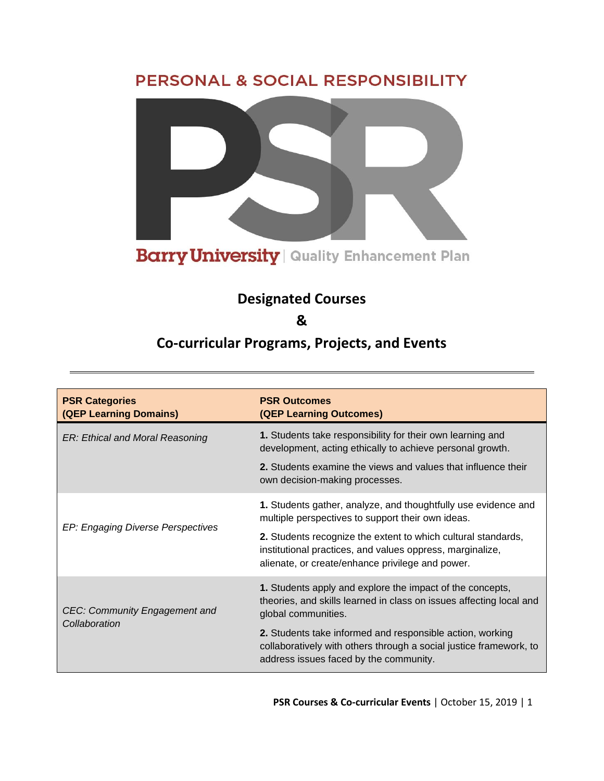## PERSONAL & SOCIAL RESPONSIBILITY



## **Designated Courses**

**&** 

## **Co-curricular Programs, Projects, and Events**

| <b>PSR Categories</b><br>(QEP Learning Domains) | <b>PSR Outcomes</b><br>(QEP Learning Outcomes)                                                                                                                                 |
|-------------------------------------------------|--------------------------------------------------------------------------------------------------------------------------------------------------------------------------------|
| ER: Ethical and Moral Reasoning                 | 1. Students take responsibility for their own learning and<br>development, acting ethically to achieve personal growth.                                                        |
|                                                 | <b>2.</b> Students examine the views and values that influence their<br>own decision-making processes.                                                                         |
|                                                 | 1. Students gather, analyze, and thoughtfully use evidence and<br>multiple perspectives to support their own ideas.                                                            |
| EP: Engaging Diverse Perspectives               | 2. Students recognize the extent to which cultural standards,<br>institutional practices, and values oppress, marginalize,<br>alienate, or create/enhance privilege and power. |
| CEC: Community Engagement and<br>Collaboration  | 1. Students apply and explore the impact of the concepts,<br>theories, and skills learned in class on issues affecting local and<br>global communities.                        |
|                                                 | 2. Students take informed and responsible action, working<br>collaboratively with others through a social justice framework, to<br>address issues faced by the community.      |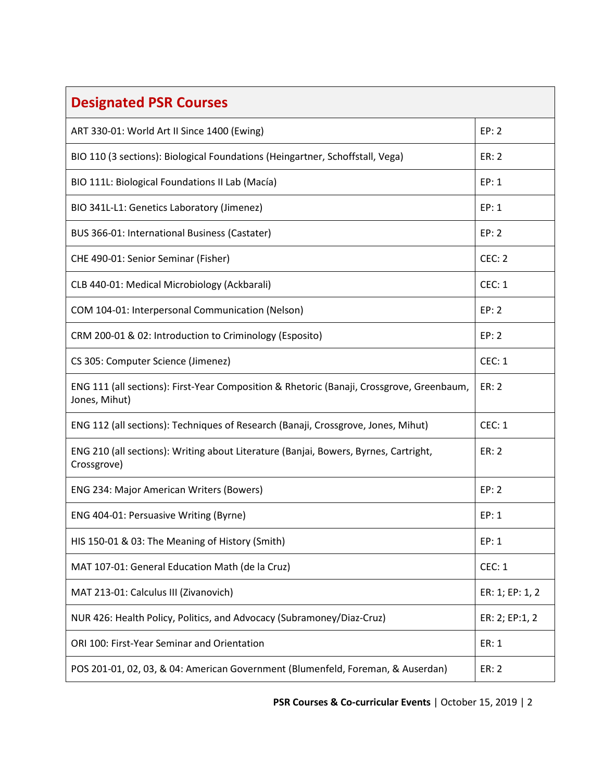| <b>Designated PSR Courses</b>                                                                              |                 |
|------------------------------------------------------------------------------------------------------------|-----------------|
| ART 330-01: World Art II Since 1400 (Ewing)                                                                | EP: 2           |
| BIO 110 (3 sections): Biological Foundations (Heingartner, Schoffstall, Vega)                              | <b>ER: 2</b>    |
| BIO 111L: Biological Foundations II Lab (Macía)                                                            | EP: 1           |
| BIO 341L-L1: Genetics Laboratory (Jimenez)                                                                 | EP: 1           |
| BUS 366-01: International Business (Castater)                                                              | EP: 2           |
| CHE 490-01: Senior Seminar (Fisher)                                                                        | CEC: 2          |
| CLB 440-01: Medical Microbiology (Ackbarali)                                                               | CEC: 1          |
| COM 104-01: Interpersonal Communication (Nelson)                                                           | EP: 2           |
| CRM 200-01 & 02: Introduction to Criminology (Esposito)                                                    | EP: 2           |
| CS 305: Computer Science (Jimenez)                                                                         | CEC: 1          |
| ENG 111 (all sections): First-Year Composition & Rhetoric (Banaji, Crossgrove, Greenbaum,<br>Jones, Mihut) | ER: 2           |
| ENG 112 (all sections): Techniques of Research (Banaji, Crossgrove, Jones, Mihut)                          | CEC: 1          |
| ENG 210 (all sections): Writing about Literature (Banjai, Bowers, Byrnes, Cartright,<br>Crossgrove)        | <b>ER: 2</b>    |
| <b>ENG 234: Major American Writers (Bowers)</b>                                                            | EP: 2           |
| ENG 404-01: Persuasive Writing (Byrne)                                                                     | EP: 1           |
| HIS 150-01 & 03: The Meaning of History (Smith)                                                            | EP: 1           |
| MAT 107-01: General Education Math (de la Cruz)                                                            | <b>CEC: 1</b>   |
| MAT 213-01: Calculus III (Zivanovich)                                                                      | ER: 1; EP: 1, 2 |
| NUR 426: Health Policy, Politics, and Advocacy (Subramoney/Diaz-Cruz)                                      | ER: 2; EP:1, 2  |
| ORI 100: First-Year Seminar and Orientation                                                                | ER: 1           |
| POS 201-01, 02, 03, & 04: American Government (Blumenfeld, Foreman, & Auserdan)                            | ER: 2           |

**PSR Courses & Co-curricular Events** | October 15, 2019 | 2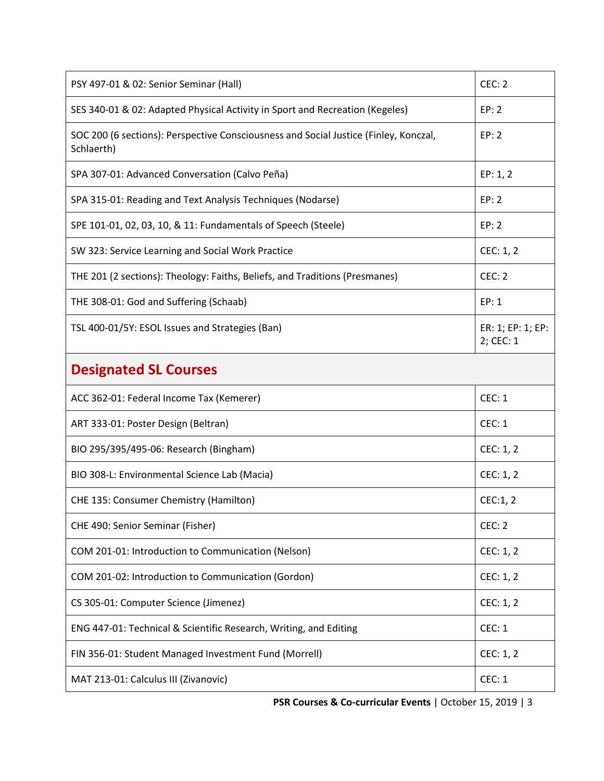| PSY 497-01 & 02: Senior Seminar (Hall)                                                             | CEC: 2                         |
|----------------------------------------------------------------------------------------------------|--------------------------------|
| SES 340-01 & 02: Adapted Physical Activity in Sport and Recreation (Kegeles)                       | EP: 2                          |
| SOC 200 (6 sections): Perspective Consciousness and Social Justice (Finley, Konczal,<br>Schlaerth) | EP: 2                          |
| SPA 307-01: Advanced Conversation (Calvo Peña)                                                     | EP: 1, 2                       |
| SPA 315-01: Reading and Text Analysis Techniques (Nodarse)                                         | EP: 2                          |
| SPE 101-01, 02, 03, 10, & 11: Fundamentals of Speech (Steele)                                      | EP: 2                          |
| SW 323: Service Learning and Social Work Practice                                                  | CEC: 1, 2                      |
| THE 201 (2 sections): Theology: Faiths, Beliefs, and Traditions (Presmanes)                        | CEC: 2                         |
| THE 308-01: God and Suffering (Schaab)                                                             | EP: 1                          |
| TSL 400-01/5Y: ESOL Issues and Strategies (Ban)                                                    | ER: 1; EP: 1; EP:<br>2; CEC: 1 |
| <b>Designated SL Courses</b>                                                                       |                                |
| ACC 362-01: Federal Income Tax (Kemerer)                                                           | <b>CEC: 1</b>                  |
| ART 333-01: Poster Design (Beltran)                                                                | CEC: 1                         |
| BIO 295/395/495-06: Research (Bingham)                                                             | CEC: 1, 2                      |
| BIO 308-L: Environmental Science Lab (Macia)                                                       | CEC: 1, 2                      |
| CHE 135: Consumer Chemistry (Hamilton)                                                             | CEC:1, 2                       |
| CHE 490: Senior Seminar (Fisher)                                                                   | CEC: 2                         |
| COM 201-01: Introduction to Communication (Nelson)                                                 | CEC: 1, 2                      |
| COM 201-02: Introduction to Communication (Gordon)                                                 | CEC: 1, 2                      |
|                                                                                                    |                                |
| CS 305-01: Computer Science (Jimenez)                                                              | CEC: 1, 2                      |
| ENG 447-01: Technical & Scientific Research, Writing, and Editing                                  | CEC: 1                         |
| FIN 356-01: Student Managed Investment Fund (Morrell)                                              | CEC: 1, 2                      |

**PSR Courses & Co-curricular Events** | October 15, 2019 | 3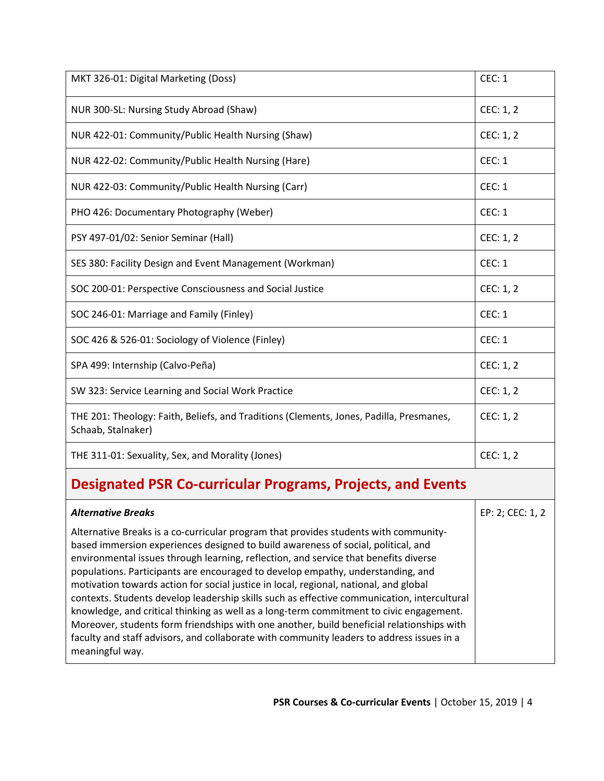| MKT 326-01: Digital Marketing (Doss)                                                                          | CEC: 1        |
|---------------------------------------------------------------------------------------------------------------|---------------|
| NUR 300-SL: Nursing Study Abroad (Shaw)                                                                       | CEC: 1, 2     |
| NUR 422-01: Community/Public Health Nursing (Shaw)                                                            | CEC: 1, 2     |
| NUR 422-02: Community/Public Health Nursing (Hare)                                                            | CEC: 1        |
| NUR 422-03: Community/Public Health Nursing (Carr)                                                            | <b>CEC: 1</b> |
| PHO 426: Documentary Photography (Weber)                                                                      | <b>CEC: 1</b> |
| PSY 497-01/02: Senior Seminar (Hall)                                                                          | CEC: 1, 2     |
| SES 380: Facility Design and Event Management (Workman)                                                       | CEC: 1        |
| SOC 200-01: Perspective Consciousness and Social Justice                                                      | CEC: 1, 2     |
| SOC 246-01: Marriage and Family (Finley)                                                                      | <b>CEC: 1</b> |
| SOC 426 & 526-01: Sociology of Violence (Finley)                                                              | <b>CEC: 1</b> |
| SPA 499: Internship (Calvo-Peña)                                                                              | CEC: 1, 2     |
| SW 323: Service Learning and Social Work Practice                                                             | CEC: 1, 2     |
| THE 201: Theology: Faith, Beliefs, and Traditions (Clements, Jones, Padilla, Presmanes,<br>Schaab, Stalnaker) | CEC: 1, 2     |
| THE 311-01: Sexuality, Sex, and Morality (Jones)                                                              | CEC: 1, 2     |

## **Designated PSR Co-curricular Programs, Projects, and Events**

| <b>Alternative Breaks</b>                                                                                                                                                                                                                                                                                                                                                                                                                                                                                                                                                                                                                                                                                                                                                                                                                            | EP: 2; CEC: 1, 2 |
|------------------------------------------------------------------------------------------------------------------------------------------------------------------------------------------------------------------------------------------------------------------------------------------------------------------------------------------------------------------------------------------------------------------------------------------------------------------------------------------------------------------------------------------------------------------------------------------------------------------------------------------------------------------------------------------------------------------------------------------------------------------------------------------------------------------------------------------------------|------------------|
| Alternative Breaks is a co-curricular program that provides students with community-<br>based immersion experiences designed to build awareness of social, political, and<br>environmental issues through learning, reflection, and service that benefits diverse<br>populations. Participants are encouraged to develop empathy, understanding, and<br>motivation towards action for social justice in local, regional, national, and global<br>contexts. Students develop leadership skills such as effective communication, intercultural<br>knowledge, and critical thinking as well as a long-term commitment to civic engagement.<br>Moreover, students form friendships with one another, build beneficial relationships with<br>faculty and staff advisors, and collaborate with community leaders to address issues in a<br>meaningful way. |                  |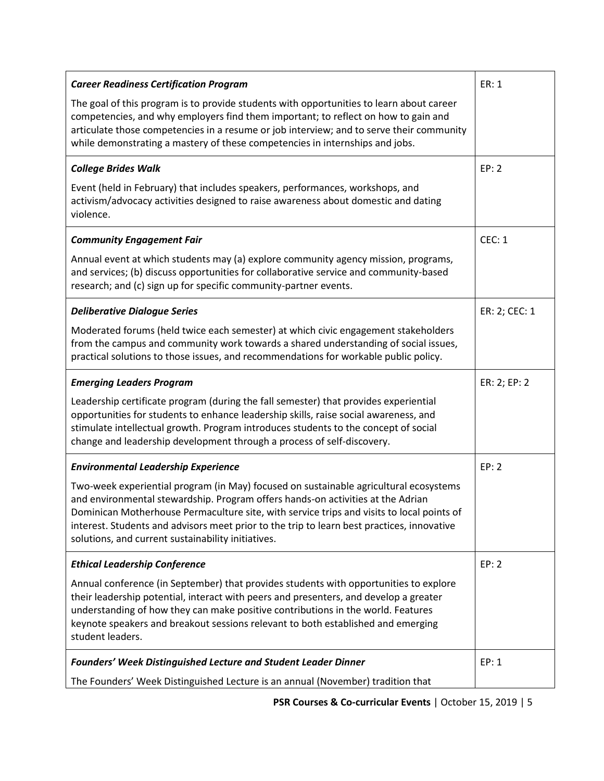| <b>Career Readiness Certification Program</b>                                                                                                                                                                                                                                                                                                                                                                             | ER: 1         |
|---------------------------------------------------------------------------------------------------------------------------------------------------------------------------------------------------------------------------------------------------------------------------------------------------------------------------------------------------------------------------------------------------------------------------|---------------|
| The goal of this program is to provide students with opportunities to learn about career<br>competencies, and why employers find them important; to reflect on how to gain and<br>articulate those competencies in a resume or job interview; and to serve their community<br>while demonstrating a mastery of these competencies in internships and jobs.                                                                |               |
| <b>College Brides Walk</b>                                                                                                                                                                                                                                                                                                                                                                                                | EP: 2         |
| Event (held in February) that includes speakers, performances, workshops, and<br>activism/advocacy activities designed to raise awareness about domestic and dating<br>violence.                                                                                                                                                                                                                                          |               |
| <b>Community Engagement Fair</b>                                                                                                                                                                                                                                                                                                                                                                                          | <b>CEC: 1</b> |
| Annual event at which students may (a) explore community agency mission, programs,<br>and services; (b) discuss opportunities for collaborative service and community-based<br>research; and (c) sign up for specific community-partner events.                                                                                                                                                                           |               |
| <b>Deliberative Dialogue Series</b>                                                                                                                                                                                                                                                                                                                                                                                       | ER: 2; CEC: 1 |
| Moderated forums (held twice each semester) at which civic engagement stakeholders<br>from the campus and community work towards a shared understanding of social issues,<br>practical solutions to those issues, and recommendations for workable public policy.                                                                                                                                                         |               |
| <b>Emerging Leaders Program</b>                                                                                                                                                                                                                                                                                                                                                                                           | ER: 2; EP: 2  |
| Leadership certificate program (during the fall semester) that provides experiential<br>opportunities for students to enhance leadership skills, raise social awareness, and<br>stimulate intellectual growth. Program introduces students to the concept of social<br>change and leadership development through a process of self-discovery.                                                                             |               |
| <b>Environmental Leadership Experience</b>                                                                                                                                                                                                                                                                                                                                                                                | EP: 2         |
| Two-week experiential program (in May) focused on sustainable agricultural ecosystems<br>and environmental stewardship. Program offers hands-on activities at the Adrian<br>Dominican Motherhouse Permaculture site, with service trips and visits to local points of<br>interest. Students and advisors meet prior to the trip to learn best practices, innovative<br>solutions, and current sustainability initiatives. |               |
| <b>Ethical Leadership Conference</b>                                                                                                                                                                                                                                                                                                                                                                                      | EP: 2         |
| Annual conference (in September) that provides students with opportunities to explore<br>their leadership potential, interact with peers and presenters, and develop a greater<br>understanding of how they can make positive contributions in the world. Features<br>keynote speakers and breakout sessions relevant to both established and emerging<br>student leaders.                                                |               |
| <b>Founders' Week Distinguished Lecture and Student Leader Dinner</b>                                                                                                                                                                                                                                                                                                                                                     | EP: 1         |
| The Founders' Week Distinguished Lecture is an annual (November) tradition that                                                                                                                                                                                                                                                                                                                                           |               |

**PSR Courses & Co-curricular Events** | October 15, 2019 | 5